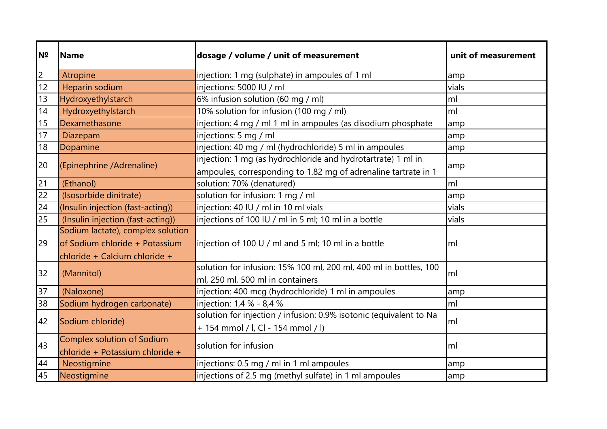| Nº | <b>Name</b>                       | dosage / volume / unit of measurement                              | unit of measurement |
|----|-----------------------------------|--------------------------------------------------------------------|---------------------|
| 2  | Atropine                          | injection: 1 mg (sulphate) in ampoules of 1 ml                     | amp                 |
| 12 | Heparin sodium                    | injections: 5000 IU / ml                                           | vials               |
| 13 | Hydroxyethylstarch                | 6% infusion solution (60 mg / ml)                                  | ml                  |
| 14 | Hydroxyethylstarch                | 10% solution for infusion (100 mg / ml)                            | ml                  |
| 15 | Dexamethasone                     | injection: 4 mg / ml 1 ml in ampoules (as disodium phosphate       | amp                 |
| 17 | Diazepam                          | injections: 5 mg / ml                                              | amp                 |
| 18 | Dopamine                          | injection: 40 mg / ml (hydrochloride) 5 ml in ampoules             | amp                 |
| 20 | (Epinephrine /Adrenaline)         | injection: 1 mg (as hydrochloride and hydrotartrate) 1 ml in       |                     |
|    |                                   | ampoules, corresponding to 1.82 mg of adrenaline tartrate in 1     | amp                 |
| 21 | (Ethanol)                         | solution: 70% (denatured)                                          | ml                  |
| 22 | (Isosorbide dinitrate)            | solution for infusion: 1 mg / ml                                   | amp                 |
| 24 | (Insulin injection (fast-acting)) | injection: 40 IU / ml in 10 ml vials                               | vials               |
| 25 | (Insulin injection (fast-acting)) | injections of 100 IU / ml in 5 ml; 10 ml in a bottle               | vials               |
|    | Sodium lactate), complex solution |                                                                    |                     |
| 29 | of Sodium chloride + Potassium    | $ $ injection of 100 U / ml and 5 ml; 10 ml in a bottle            | lml                 |
|    | chloride + Calcium chloride +     |                                                                    |                     |
|    | (Mannitol)                        | solution for infusion: 15% 100 ml, 200 ml, 400 ml in bottles, 100  |                     |
| 32 |                                   | ml, 250 ml, 500 ml in containers                                   | lml                 |
| 37 | (Naloxone)                        | injection: 400 mcg (hydrochloride) 1 ml in ampoules                | amp                 |
| 38 | Sodium hydrogen carbonate)        | injection: 1,4 % - 8,4 %                                           | ml                  |
| 42 |                                   | solution for injection / infusion: 0.9% isotonic (equivalent to Na | lml                 |
|    | Sodium chloride)                  | + 154 mmol / l, Cl - 154 mmol / l)                                 |                     |
| 43 | Complex solution of Sodium        |                                                                    |                     |
|    | chloride + Potassium chloride +   | solution for infusion                                              | lml                 |
| 44 | Neostigmine                       | injections: 0.5 mg / ml in 1 ml ampoules                           | amp                 |
| 45 | Neostigmine                       | injections of 2.5 mg (methyl sulfate) in 1 ml ampoules             | amp                 |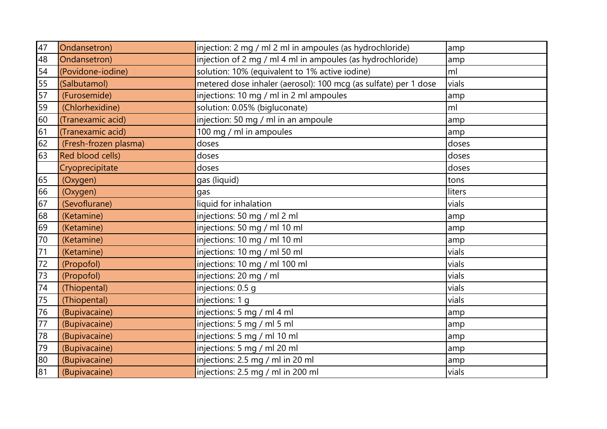| 47 | Ondansetron)          | injection: 2 mg / ml 2 ml in ampoules (as hydrochloride)        | amp    |
|----|-----------------------|-----------------------------------------------------------------|--------|
| 48 | Ondansetron)          | injection of 2 mg / ml 4 ml in ampoules (as hydrochloride)      | amp    |
| 54 | (Povidone-iodine)     | solution: 10% (equivalent to 1% active iodine)                  | ml     |
| 55 | (Salbutamol)          | metered dose inhaler (aerosol): 100 mcg (as sulfate) per 1 dose | vials  |
| 57 | (Furosemide)          | injections: 10 mg / ml in 2 ml ampoules                         | amp    |
| 59 | (Chlorhexidine)       | solution: 0.05% (bigluconate)                                   | ml     |
| 60 | (Tranexamic acid)     | injection: 50 mg / ml in an ampoule                             | amp    |
| 61 | (Tranexamic acid)     | 100 mg / ml in ampoules                                         | amp    |
| 62 | (Fresh-frozen plasma) | doses                                                           | doses  |
| 63 | Red blood cells)      | doses                                                           | doses  |
|    | Cryoprecipitate       | doses                                                           | doses  |
| 65 | (Oxygen)              | gas (liquid)                                                    | tons   |
| 66 | (Oxygen)              | gas                                                             | liters |
| 67 | (Sevoflurane)         | liquid for inhalation                                           | vials  |
| 68 | (Ketamine)            | injections: 50 mg / ml 2 ml                                     | amp    |
| 69 | (Ketamine)            | injections: 50 mg / ml 10 ml                                    | amp    |
| 70 | (Ketamine)            | injections: 10 mg / ml 10 ml                                    | amp    |
| 71 | (Ketamine)            | injections: 10 mg / ml 50 ml                                    | vials  |
| 72 | (Propofol)            | injections: 10 mg / ml 100 ml                                   | vials  |
| 73 | (Propofol)            | injections: 20 mg / ml                                          | vials  |
| 74 | (Thiopental)          | injections: 0.5 g                                               | vials  |
| 75 | (Thiopental)          | injections: 1 g                                                 | vials  |
| 76 | (Bupivacaine)         | injections: 5 mg / ml 4 ml                                      | amp    |
| 77 | (Bupivacaine)         | injections: 5 mg / ml 5 ml                                      | amp    |
| 78 | (Bupivacaine)         | injections: 5 mg / ml 10 ml                                     | amp    |
| 79 | (Bupivacaine)         | injections: 5 mg / ml 20 ml                                     | amp    |
| 80 | (Bupivacaine)         | injections: 2.5 mg / ml in 20 ml                                | amp    |
| 81 | (Bupivacaine)         | injections: 2.5 mg / ml in 200 ml                               | vials  |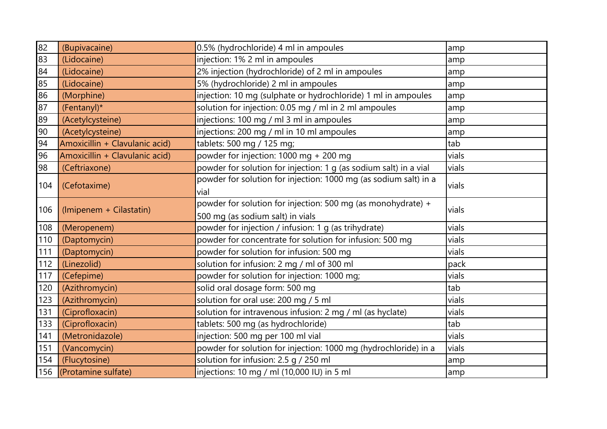| 82  | (Bupivacaine)                  | 0.5% (hydrochloride) 4 ml in ampoules                             | amp   |
|-----|--------------------------------|-------------------------------------------------------------------|-------|
| 83  | (Lidocaine)                    | injection: 1% 2 ml in ampoules                                    | amp   |
| 84  | (Lidocaine)                    | 2% injection (hydrochloride) of 2 ml in ampoules                  | amp   |
| 85  | (Lidocaine)                    | 5% (hydrochloride) 2 ml in ampoules                               | amp   |
| 86  | (Morphine)                     | injection: 10 mg (sulphate or hydrochloride) 1 ml in ampoules     | amp   |
| 87  | (Fentanyl)*                    | solution for injection: 0.05 mg / ml in 2 ml ampoules             | amp   |
| 89  | (Acetylcysteine)               | injections: 100 mg / ml 3 ml in ampoules                          | amp   |
| 90  | (Acetylcysteine)               | injections: 200 mg / ml in 10 ml ampoules                         | amp   |
| 94  | Amoxicillin + Clavulanic acid) | tablets: 500 mg / 125 mg;                                         | tab   |
| 96  | Amoxicillin + Clavulanic acid) | powder for injection: 1000 mg + 200 mg                            | vials |
| 98  | (Ceftriaxone)                  | powder for solution for injection: 1 g (as sodium salt) in a vial | vials |
| 104 |                                | powder for solution for injection: 1000 mg (as sodium salt) in a  |       |
|     | (Cefotaxime)                   | vial                                                              | vials |
|     |                                | powder for solution for injection: 500 mg (as monohydrate) +      |       |
| 106 | (Imipenem + Cilastatin)        | 500 mg (as sodium salt) in vials                                  | vials |
| 108 | (Meropenem)                    | powder for injection / infusion: 1 g (as trihydrate)              | vials |
| 110 | (Daptomycin)                   | powder for concentrate for solution for infusion: 500 mg          | vials |
| 111 | (Daptomycin)                   | powder for solution for infusion: 500 mg                          | vials |
| 112 | (Linezolid)                    | solution for infusion: 2 mg / ml of 300 ml                        | pack  |
| 117 | (Cefepime)                     | powder for solution for injection: 1000 mg;                       | vials |
| 120 | (Azithromycin)                 | solid oral dosage form: 500 mg                                    | tab   |
| 123 | (Azithromycin)                 | solution for oral use: 200 mg / 5 ml                              | vials |
| 131 | (Ciprofloxacin)                | solution for intravenous infusion: 2 mg / ml (as hyclate)         | vials |
| 133 | (Ciprofloxacin)                | tablets: 500 mg (as hydrochloride)                                | tab   |
| 141 | (Metronidazole)                | injection: 500 mg per 100 ml vial                                 | vials |
| 151 | (Vancomycin)                   | powder for solution for injection: 1000 mg (hydrochloride) in a   | vials |
| 154 | (Flucytosine)                  | solution for infusion: 2.5 g / 250 ml                             | amp   |
|     | 156 (Protamine sulfate)        | injections: 10 mg / ml (10,000 IU) in 5 ml                        | amp   |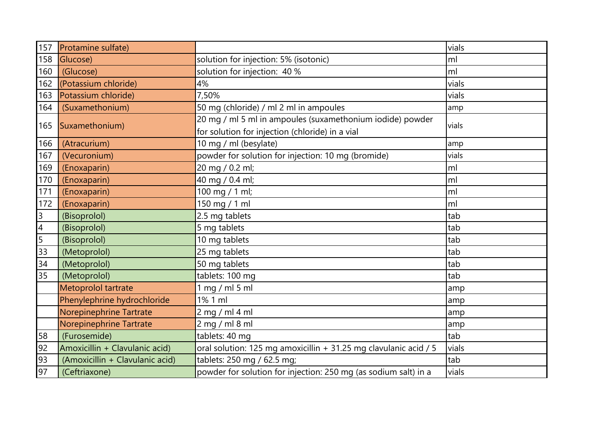| 157                      | Protamine sulfate)              |                                                                  | vials |
|--------------------------|---------------------------------|------------------------------------------------------------------|-------|
| 158                      | Glucose)                        | solution for injection: 5% (isotonic)                            | ml    |
| 160                      | (Glucose)                       | solution for injection: 40 %                                     | ml    |
| 162                      | (Potassium chloride)            | 4%                                                               | vials |
| 163                      | Potassium chloride)             | 7,50%                                                            | vials |
| 164                      | (Suxamethonium)                 | 50 mg (chloride) / ml 2 ml in ampoules                           | amp   |
| 165                      | Suxamethonium)                  | 20 mg / ml 5 ml in ampoules (suxamethonium iodide) powder        | vials |
|                          |                                 | for solution for injection (chloride) in a vial                  |       |
| 166                      | (Atracurium)                    | 10 mg / ml (besylate)                                            | amp   |
| 167                      | (Vecuronium)                    | powder for solution for injection: 10 mg (bromide)               | vials |
| 169                      | (Enoxaparin)                    | 20 mg / 0.2 ml;                                                  | ml    |
| 170                      | (Enoxaparin)                    | 40 mg / 0.4 ml;                                                  | ml    |
| 171                      | (Enoxaparin)                    | 100 mg / 1 ml;                                                   | ml    |
| 172                      | (Enoxaparin)                    | 150 mg / 1 ml                                                    | ml    |
| $\overline{3}$           | (Bisoprolol)                    | 2.5 mg tablets                                                   | tab   |
| $\overline{\mathcal{A}}$ | (Bisoprolol)                    | 5 mg tablets                                                     | tab   |
| $\overline{5}$           | (Bisoprolol)                    | 10 mg tablets                                                    | tab   |
| 33                       | (Metoprolol)                    | 25 mg tablets                                                    | tab   |
| 34                       | (Metoprolol)                    | 50 mg tablets                                                    | tab   |
| 35                       | (Metoprolol)                    | tablets: 100 mg                                                  | tab   |
|                          | Metoprolol tartrate             | 1 mg / ml 5 ml                                                   | amp   |
|                          | Phenylephrine hydrochloride     | 1% 1 ml                                                          | amp   |
|                          | Norepinephrine Tartrate         | $2$ mg / ml 4 ml                                                 | amp   |
|                          | Norepinephrine Tartrate         | $2$ mg / ml 8 ml                                                 | amp   |
| 58                       | (Furosemide)                    | tablets: 40 mg                                                   | tab   |
| 92                       | Amoxicillin + Clavulanic acid)  | oral solution: 125 mg amoxicillin + 31.25 mg clavulanic acid / 5 | vials |
| 93                       | (Amoxicillin + Clavulanic acid) | tablets: 250 mg / 62.5 mg;                                       | tab   |
| 97                       | (Ceftriaxone)                   | powder for solution for injection: 250 mg (as sodium salt) in a  | vials |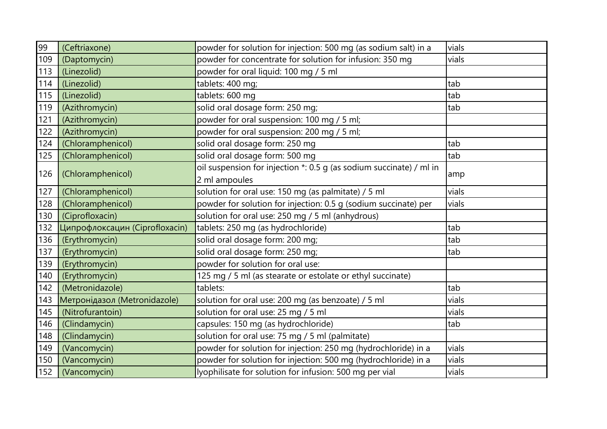| 99  | (Ceftriaxone)                  | powder for solution for injection: 500 mg (as sodium salt) in a     | vials |
|-----|--------------------------------|---------------------------------------------------------------------|-------|
| 109 | (Daptomycin)                   | powder for concentrate for solution for infusion: 350 mg            | vials |
| 113 | (Linezolid)                    | powder for oral liquid: 100 mg / 5 ml                               |       |
| 114 | (Linezolid)                    | tablets: 400 mg;                                                    | tab   |
| 115 | (Linezolid)                    | tablets: 600 mg                                                     | tab   |
| 119 | (Azithromycin)                 | solid oral dosage form: 250 mg;                                     | tab   |
| 121 | (Azithromycin)                 | powder for oral suspension: 100 mg / 5 ml;                          |       |
| 122 | (Azithromycin)                 | powder for oral suspension: 200 mg / 5 ml;                          |       |
| 124 | (Chloramphenicol)              | solid oral dosage form: 250 mg                                      | tab   |
| 125 | (Chloramphenicol)              | solid oral dosage form: 500 mg                                      | tab   |
| 126 |                                | oil suspension for injection *: 0.5 g (as sodium succinate) / ml in |       |
|     | (Chloramphenicol)              | 2 ml ampoules                                                       | amp   |
| 127 | (Chloramphenicol)              | solution for oral use: 150 mg (as palmitate) / 5 ml                 | vials |
| 128 | (Chloramphenicol)              | powder for solution for injection: 0.5 g (sodium succinate) per     | vials |
| 130 | (Ciprofloxacin)                | solution for oral use: 250 mg / 5 ml (anhydrous)                    |       |
| 132 | Ципрофлоксацин (Ciprofloxacin) | tablets: 250 mg (as hydrochloride)                                  | tab   |
| 136 | (Erythromycin)                 | solid oral dosage form: 200 mg;                                     | tab   |
| 137 | (Erythromycin)                 | solid oral dosage form: 250 mg;                                     | tab   |
| 139 | (Erythromycin)                 | powder for solution for oral use:                                   |       |
| 140 | (Erythromycin)                 | 125 mg / 5 ml (as stearate or estolate or ethyl succinate)          |       |
| 142 | (Metronidazole)                | tablets:                                                            | tab   |
| 143 | Метронідазол (Metronidazole)   | solution for oral use: 200 mg (as benzoate) / 5 ml                  | vials |
| 145 | (Nitrofurantoin)               | solution for oral use: 25 mg / 5 ml                                 | vials |
| 146 | (Clindamycin)                  | capsules: 150 mg (as hydrochloride)                                 | tab   |
| 148 | (Clindamycin)                  | solution for oral use: 75 mg / 5 ml (palmitate)                     |       |
| 149 | (Vancomycin)                   | powder for solution for injection: 250 mg (hydrochloride) in a      | vials |
| 150 | (Vancomycin)                   | powder for solution for injection: 500 mg (hydrochloride) in a      | vials |
| 152 | (Vancomycin)                   | lyophilisate for solution for infusion: 500 mg per vial             | vials |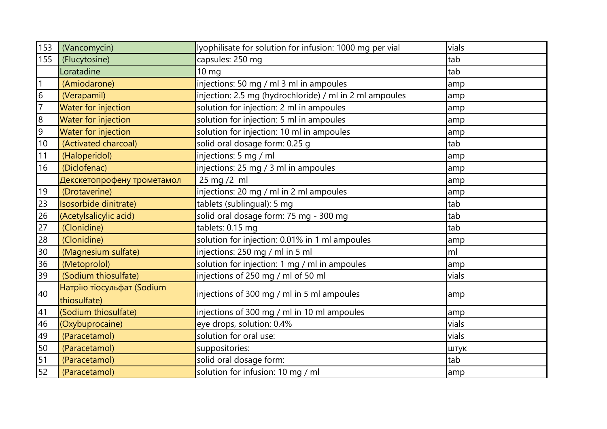| 153 | (Vancomycin)                              | lyophilisate for solution for infusion: 1000 mg per vial | vials |
|-----|-------------------------------------------|----------------------------------------------------------|-------|
| 155 | (Flucytosine)                             | capsules: 250 mg                                         | tab   |
|     | Loratadine                                | $10 \text{ mg}$                                          | tab   |
|     | (Amiodarone)                              | injections: 50 mg / ml 3 ml in ampoules                  | amp   |
| 6   | (Verapamil)                               | injection: 2.5 mg (hydrochloride) / ml in 2 ml ampoules  | amp   |
|     | Water for injection                       | solution for injection: 2 ml in ampoules                 | amp   |
| 8   | Water for injection                       | solution for injection: 5 ml in ampoules                 | amp   |
| 9   | Water for injection                       | solution for injection: 10 ml in ampoules                | amp   |
| 10  | (Activated charcoal)                      | solid oral dosage form: 0.25 g                           | tab   |
| 11  | (Haloperidol)                             | injections: 5 mg / ml                                    | amp   |
| 16  | (Diclofenac)                              | injections: 25 mg / 3 ml in ampoules                     | amp   |
|     | Декскетопрофену трометамол                | 25 mg /2 ml                                              | amp   |
| 19  | (Drotaverine)                             | injections: 20 mg / ml in 2 ml ampoules                  | amp   |
| 23  | Isosorbide dinitrate)                     | tablets (sublingual): 5 mg                               | tab   |
| 26  | (Acetylsalicylic acid)                    | solid oral dosage form: 75 mg - 300 mg                   | tab   |
| 27  | (Clonidine)                               | tablets: 0.15 mg                                         | tab   |
| 28  | (Clonidine)                               | solution for injection: 0.01% in 1 ml ampoules           | amp   |
| 30  | (Magnesium sulfate)                       | injections: 250 mg / ml in 5 ml                          | ml    |
| 36  | (Metoprolol)                              | solution for injection: 1 mg / ml in ampoules            | amp   |
| 39  | (Sodium thiosulfate)                      | injections of 250 mg / ml of 50 ml                       | vials |
| 40  | Натрію тіосульфат (Sodium<br>thiosulfate) | injections of 300 mg / ml in 5 ml ampoules               | amp   |
| 41  | (Sodium thiosulfate)                      | injections of 300 mg / ml in 10 ml ampoules              | amp   |
| 46  | (Oxybuprocaine)                           | eye drops, solution: 0.4%                                | vials |
| 49  | (Paracetamol)                             | solution for oral use:                                   | vials |
| 50  | (Paracetamol)                             | suppositories:                                           | ШТУК  |
| 51  | (Paracetamol)                             | solid oral dosage form:                                  | tab   |
| 52  | (Paracetamol)                             | solution for infusion: 10 mg / ml                        | amp   |